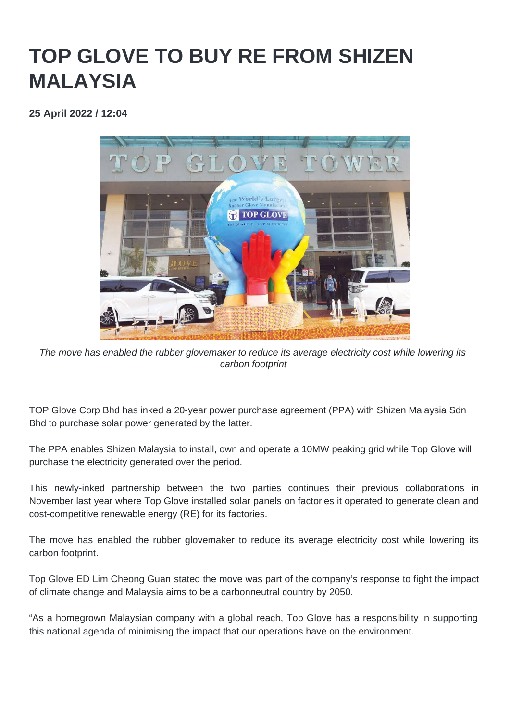## **TOP GLOVE TO BUY RE FROM SHIZEN MALAYSIA**

**25 April 2022 / 12:04** 



The move has enabled the rubber glovemaker to reduce its average electricity cost while lowering its carbon footprint

TOP Glove Corp Bhd has inked a 20-year power purchase agreement (PPA) with Shizen Malaysia Sdn Bhd to purchase solar power generated by the latter.

The PPA enables Shizen Malaysia to install, own and operate a 10MW peaking grid while Top Glove will purchase the electricity generated over the period.

This newly-inked partnership between the two parties continues their previous collaborations in November last year where Top Glove installed solar panels on factories it operated to generate clean and cost-competitive renewable energy (RE) for its factories.

The move has enabled the rubber glovemaker to reduce its average electricity cost while lowering its carbon footprint.

Top Glove ED Lim Cheong Guan stated the move was part of the company's response to fight the impact of climate change and Malaysia aims to be a carbonneutral country by 2050.

"As a homegrown Malaysian company with a global reach, Top Glove has a responsibility in supporting this national agenda of minimising the impact that our operations have on the environment.